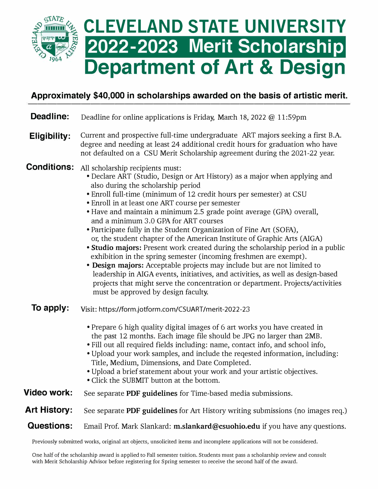

## **Approximately \$40,000 in scholarships awarded on the basis of artistic merit.**

| Deadline:                                                                                                               | Deadline for online applications is Friday, March 18, 2022 @ 11:59pm                                                                                                                                                                                                                                                                                                                                                                                                                                                                                                                                                                                                                                                                                                                                                                                                                                                                                                                               |
|-------------------------------------------------------------------------------------------------------------------------|----------------------------------------------------------------------------------------------------------------------------------------------------------------------------------------------------------------------------------------------------------------------------------------------------------------------------------------------------------------------------------------------------------------------------------------------------------------------------------------------------------------------------------------------------------------------------------------------------------------------------------------------------------------------------------------------------------------------------------------------------------------------------------------------------------------------------------------------------------------------------------------------------------------------------------------------------------------------------------------------------|
| <b>Eligibility:</b>                                                                                                     | Current and prospective full-time undergraduate ART majors seeking a first B.A.<br>degree and needing at least 24 additional credit hours for graduation who have<br>not defaulted on a CSU Merit Scholarship agreement during the 2021-22 year.                                                                                                                                                                                                                                                                                                                                                                                                                                                                                                                                                                                                                                                                                                                                                   |
| <b>Conditions:</b>                                                                                                      | All scholarship recipients must:<br>• Declare ART (Studio, Design or Art History) as a major when applying and<br>also during the scholarship period<br>• Enroll full-time (minimum of 12 credit hours per semester) at CSU<br>• Enroll in at least one ART course per semester<br>• Have and maintain a minimum 2.5 grade point average (GPA) overall,<br>and a minimum 3.0 GPA for ART courses<br>• Participate fully in the Student Organization of Fine Art (SOFA),<br>or, the student chapter of the American Institute of Graphic Arts (AIGA)<br>• Studio majors: Present work created during the scholarship period in a public<br>exhibition in the spring semester (incoming freshmen are exempt).<br>• Design majors: Acceptable projects may include but are not limited to<br>leadership in AIGA events, initiatives, and activities, as well as design-based<br>projects that might serve the concentration or department. Projects/activities<br>must be approved by design faculty. |
| To apply:                                                                                                               | Visit: https://form.jotform.com/CSUART/merit-2022-23                                                                                                                                                                                                                                                                                                                                                                                                                                                                                                                                                                                                                                                                                                                                                                                                                                                                                                                                               |
|                                                                                                                         | • Prepare 6 high quality digital images of 6 art works you have created in<br>the past 12 months. Each image file should be JPG no larger than 2MB.<br>• Fill out all required fields including: name, contact info, and school info,<br>. Upload your work samples, and include the reqested information, including:<br>Title, Medium, Dimensions, and Date Completed.<br>. Upload a brief statement about your work and your artistic objectives.<br>• Click the SUBMIT button at the bottom.                                                                                                                                                                                                                                                                                                                                                                                                                                                                                                    |
| Video work:                                                                                                             | See separate PDF guidelines for Time-based media submissions.                                                                                                                                                                                                                                                                                                                                                                                                                                                                                                                                                                                                                                                                                                                                                                                                                                                                                                                                      |
| <b>Art History:</b>                                                                                                     | See separate PDF guidelines for Art History writing submissions (no images req.)                                                                                                                                                                                                                                                                                                                                                                                                                                                                                                                                                                                                                                                                                                                                                                                                                                                                                                                   |
| <b>Questions:</b>                                                                                                       | Email Prof. Mark Slankard: m.slankard@csuohio.edu if you have any questions.                                                                                                                                                                                                                                                                                                                                                                                                                                                                                                                                                                                                                                                                                                                                                                                                                                                                                                                       |
| Previously submitted works, original art objects, unsolicited items and incomplete applications will not be considered. |                                                                                                                                                                                                                                                                                                                                                                                                                                                                                                                                                                                                                                                                                                                                                                                                                                                                                                                                                                                                    |

One half of the scholarship award is applied to Fall semester tuition. Students must pass a scholarship review and consult with Merit Scholarship Advisor before registering for Spring semester to receive the second half of the award.